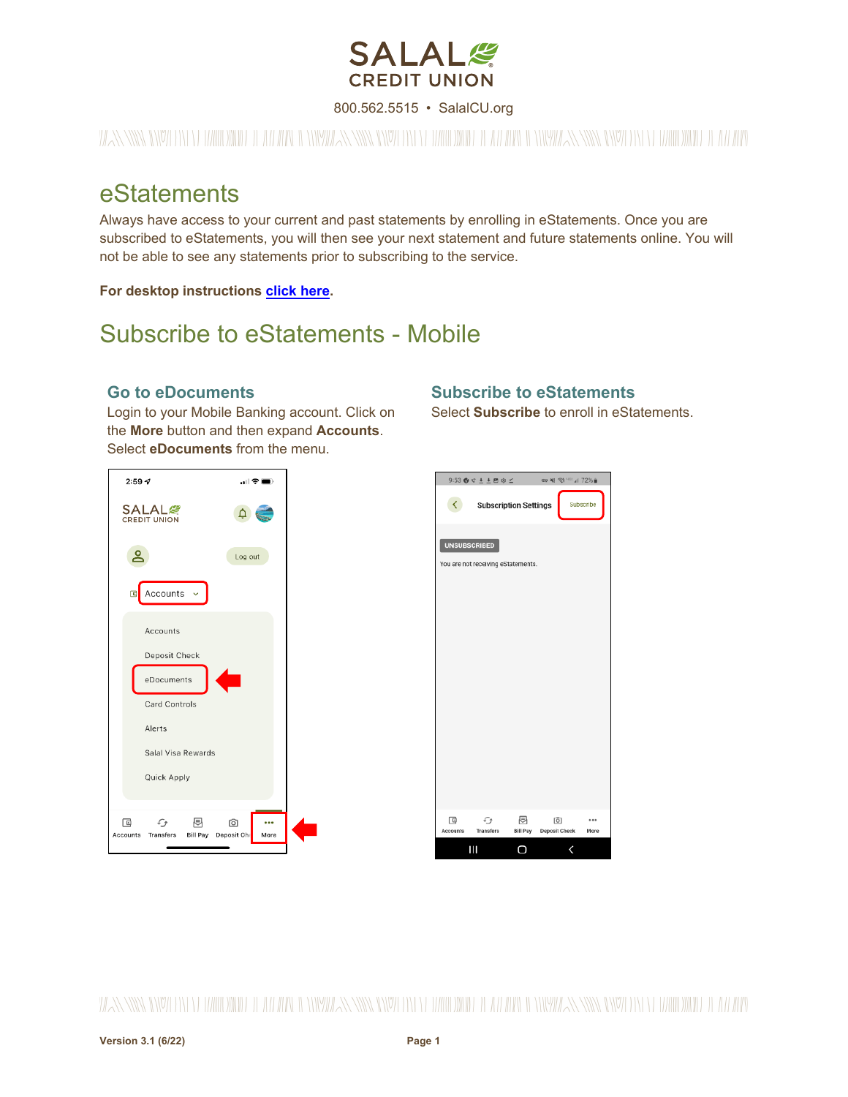

800.562.5515 • SalalCU.org

WANNOO ONY AHAA MARAHA MARAHA WAA MARAHA MARAHA WAA MARAHA MARAHA MARAHA MARAHA MARAHA MARAHA MARAHA MARAHA MA

# eStatements

Always have access to your current and past statements by enrolling in eStatements. Once you are subscribed to eStatements, you will then see your next statement and future statements online. You will not be able to see any statements prior to subscribing to the service.

**For desktop instructions [click here.](#page-4-0)**

# Subscribe to eStatements - Mobile

#### **Go to eDocuments**

Login to your Mobile Banking account. Click on the **More** button and then expand **Accounts**. Select **eDocuments** from the menu.

#### **Subscribe to eStatements**

Select **Subscribe** to enroll in eStatements.





*THENNI*N WYTH EE HAARDINID IL A*H IHA*N WAANEN YN Y HAARDINID IL AH IHA WAN WENY*HENNIN WYT*HEE HAARDINID IN ALAHA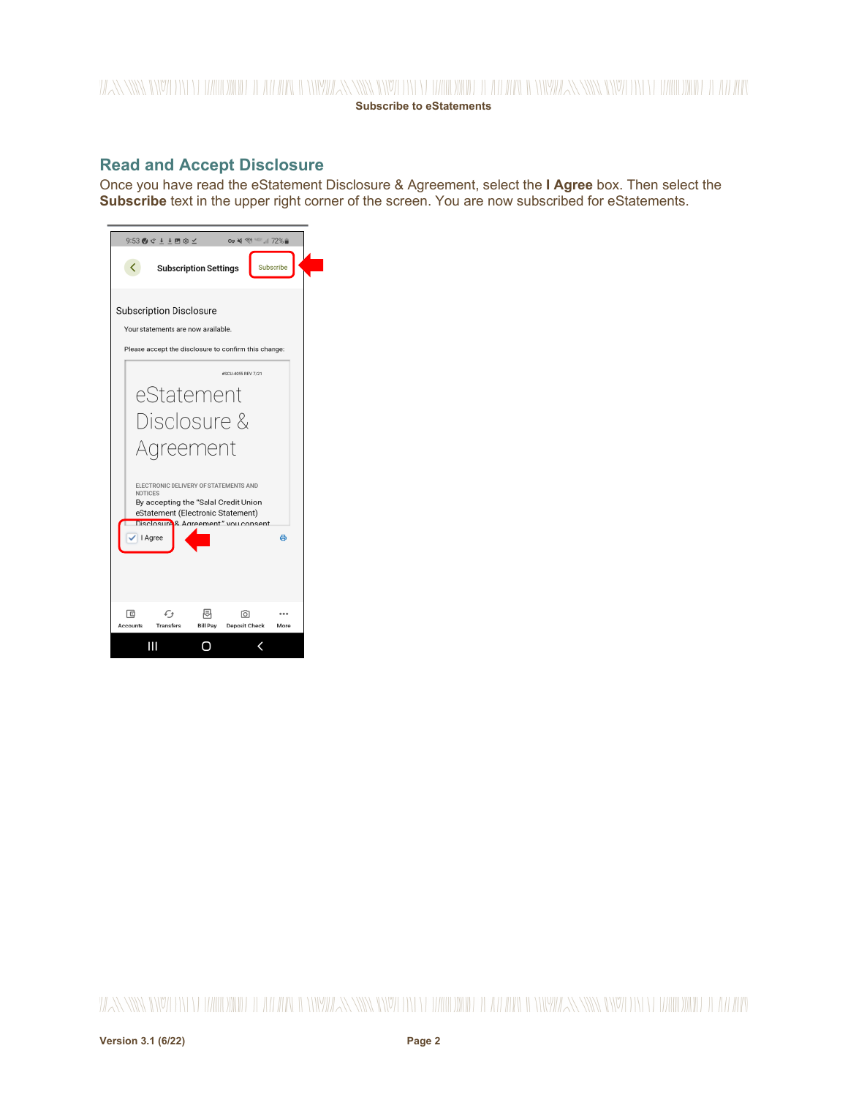#### WANNIN YIYA DIYED MAHDINID DEAH ARA ILIYIYA AN NIYA YINI YEYAHIDINID DEAH ARA AN YIYA ANIYA NIYA DIYEYEDIN YEYAHUDINID DEAH ARA **Subscribe to eStatements**

## **Read and Accept Disclosure**

Once you have read the eStatement Disclosure & Agreement, select the **I Agree** box. Then select the **Subscribe** text in the upper right corner of the screen. You are now subscribed for eStatements.

| $9:53$ $0$ $0$ $1$ $1$ $1$ $1$ $0$ $0$ $1$<br>∞ 41 % 48 172% m                                                                                                                              |  |  |  |  |  |
|---------------------------------------------------------------------------------------------------------------------------------------------------------------------------------------------|--|--|--|--|--|
| Subscribe<br>◟<br><b>Subscription Settings</b>                                                                                                                                              |  |  |  |  |  |
| <b>Subscription Disclosure</b>                                                                                                                                                              |  |  |  |  |  |
| Your statements are now available.                                                                                                                                                          |  |  |  |  |  |
| Please accept the disclosure to confirm this change:                                                                                                                                        |  |  |  |  |  |
| #SCU-4055 REV 7/21                                                                                                                                                                          |  |  |  |  |  |
| eStatement                                                                                                                                                                                  |  |  |  |  |  |
| Disclosure &                                                                                                                                                                                |  |  |  |  |  |
| Agreement                                                                                                                                                                                   |  |  |  |  |  |
| ELECTRONIC DELIVERY OF STATEMENTS AND<br><b>NOTICES</b><br>By accepting the "Salal Credit Union<br>eStatement (Electronic Statement)<br>Disclosure & Agreement" you consent<br>I Agree<br>a |  |  |  |  |  |
| 凨<br>ाठा<br>16<br>$\mathcal{L}_{\mathcal{F}}$<br><br>Accounts<br><b>Transfers</b><br><b>Bill Pay</b><br><b>Deposit Check</b><br>More                                                        |  |  |  |  |  |
| ш                                                                                                                                                                                           |  |  |  |  |  |

WANNIN INYO DI LOUIDIND DEALERIN IL NIVIDAN INYO DI LOUIDINDE LEALERIN INVIDANT IN DIVIDANTIN INYO DI LOUIDINDE LEALERIN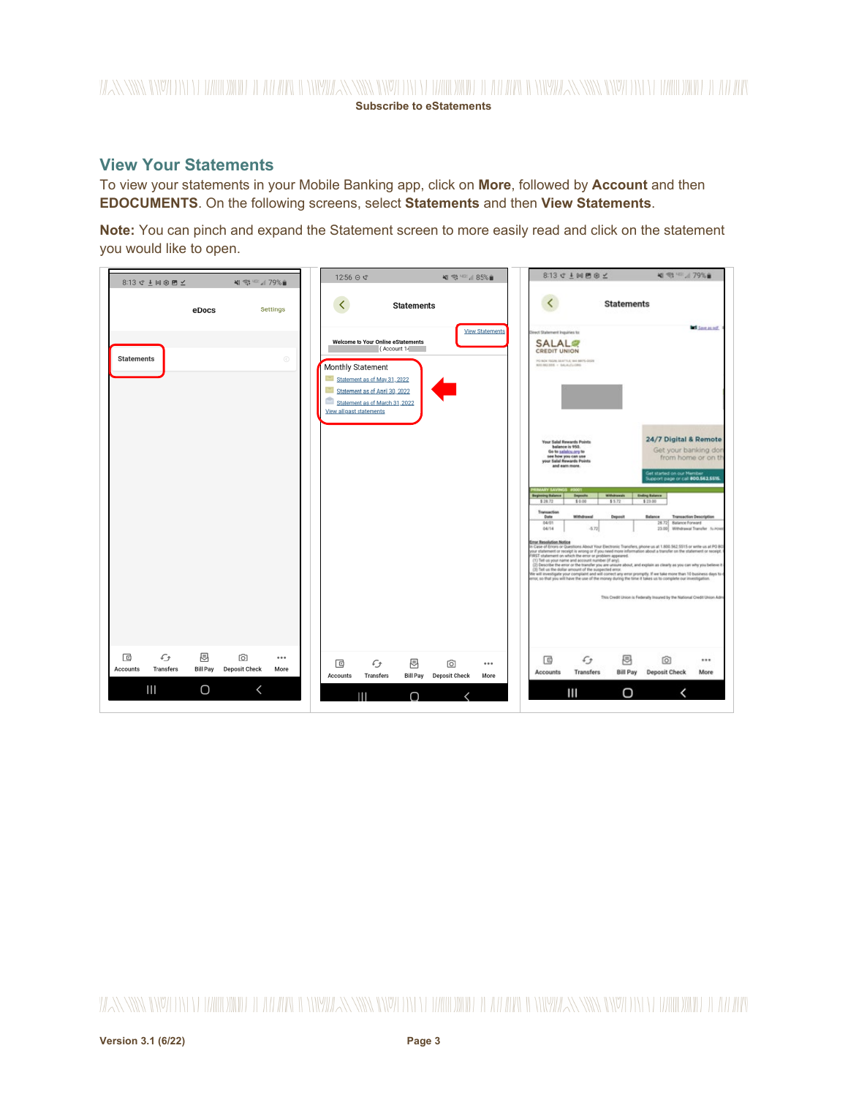## *THENNES WAS TERM AND A THARD DIE A HEARE IN NEW ANEXEMENT ON DE THARD DIE TEEL A HEARE IN NEW ANEXEMENT ON YEAR ODDERE TEEL A HEARE* **Subscribe to eStatements**

#### **View Your Statements**

To view your statements in your Mobile Banking app, click on **More**, followed by **Account** and then **EDOCUMENTS**. On the following screens, select **Statements** and then **View Statements**.

**Note:** You can pinch and expand the Statement screen to more easily read and click on the statement you would like to open.



*THENNI*N WYTHY E HAIDDWD IE A*D HENNI* WY*HENNIN WYTHY EI HAIDDWD IE AD IDEN WYDDENIN WYTHY EI WYDDWD IE AD IDEN*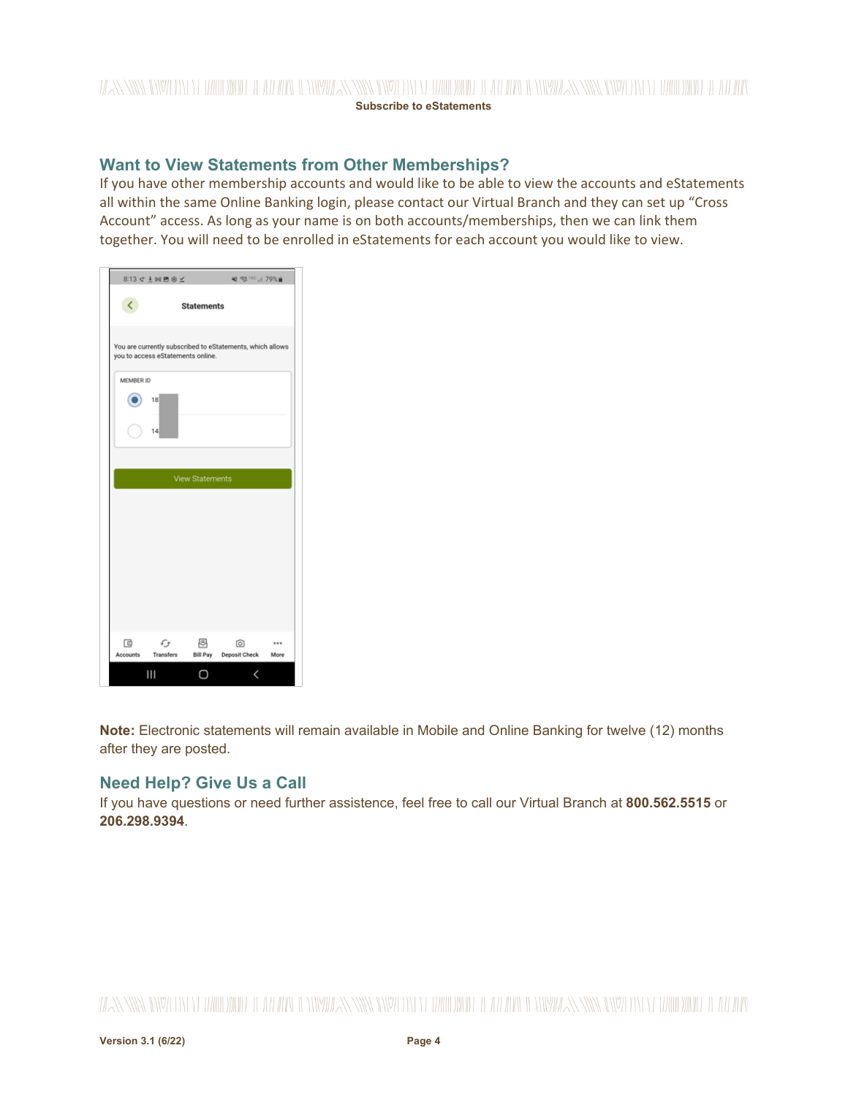# WANNIN INYO DILLO MAHDINDO DEALAMA ILINYAZININ INYO DILLO MAHDINDO DEALAMA ILINYAZININ INYO DILLO MAHDINDO DALA **Subscribe to eStatements**

# **Want to View Statements from Other Memberships?**

If you have other membership accounts and would like to be able to view the accounts and eStatements all within the same Online Banking login, please contact our Virtual Branch and they can set up "Cross Account" access. As long as your name is on both accounts/memberships, then we can link them together. You will need to be enrolled in eStatements for each account you would like to view.

|           | 8:13 ∉ ≛ ⊠ ■ ⊕ ≰                                                                               |                        | ¥I % ™ 179% ii                          |  |  |  |
|-----------|------------------------------------------------------------------------------------------------|------------------------|-----------------------------------------|--|--|--|
| ←         |                                                                                                | <b>Statements</b>      |                                         |  |  |  |
|           | You are currently subscribed to eStatements, which allows<br>you to access eStatements online. |                        |                                         |  |  |  |
| MEMBER ID |                                                                                                |                        |                                         |  |  |  |
|           | 18                                                                                             |                        |                                         |  |  |  |
|           | 14                                                                                             |                        |                                         |  |  |  |
|           |                                                                                                |                        |                                         |  |  |  |
|           |                                                                                                | <b>View Statements</b> |                                         |  |  |  |
|           |                                                                                                |                        |                                         |  |  |  |
|           |                                                                                                |                        |                                         |  |  |  |
|           |                                                                                                |                        |                                         |  |  |  |
|           |                                                                                                |                        |                                         |  |  |  |
|           |                                                                                                |                        |                                         |  |  |  |
|           |                                                                                                |                        |                                         |  |  |  |
|           |                                                                                                |                        |                                         |  |  |  |
| 回         | €                                                                                              | 囘                      |                                         |  |  |  |
|           | Accounts Transfers                                                                             |                        | ा<br><b>Bill Pay Deposit Check More</b> |  |  |  |
|           | Ш                                                                                              | O                      |                                         |  |  |  |

**Note:** Electronic statements will remain available in Mobile and Online Banking for twelve (12) months after they are posted.

#### **Need Help? Give Us a Call**

If you have questions or need further assistence, feel free to call our Virtual Branch at **800.562.5515** or **206.298.9394**.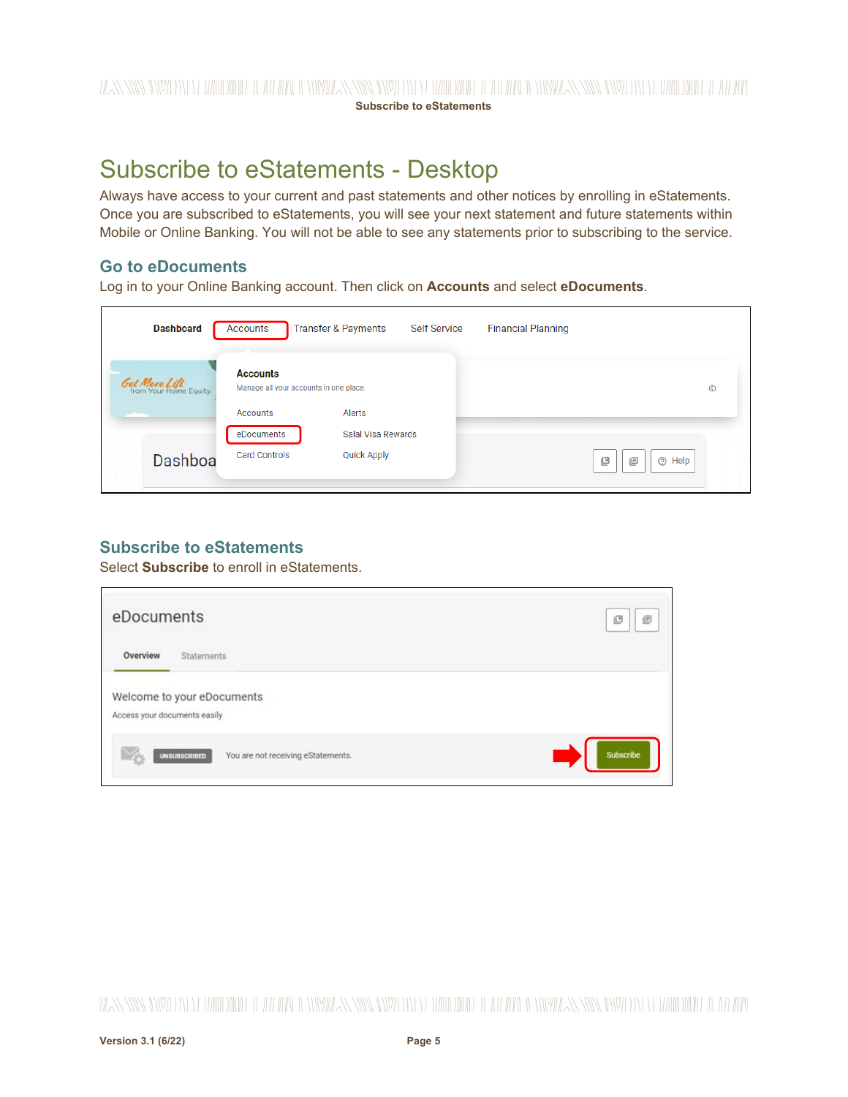# <span id="page-4-0"></span>Subscribe to eStatements - Desktop

Always have access to your current and past statements and other notices by enrolling in eStatements. Once you are subscribed to eStatements, you will see your next statement and future statements within Mobile or Online Banking. You will not be able to see any statements prior to subscribing to the service.

#### **Go to eDocuments**

Log in to your Online Banking account. Then click on **Accounts** and select **eDocuments**.

| <b>Dashboard</b>                               | <b>Accounts</b>                                           | <b>Transfer &amp; Payments</b> | <b>Self Service</b> | <b>Financial Planning</b> |                  |            |
|------------------------------------------------|-----------------------------------------------------------|--------------------------------|---------------------|---------------------------|------------------|------------|
| <b>Get More Lift</b><br>from Your Home Equity. | <b>Accounts</b><br>Manage all your accounts in one place. |                                |                     |                           |                  | $^{\circ}$ |
|                                                | Accounts                                                  | Alerts                         |                     |                           |                  |            |
|                                                | eDocuments                                                | Salal Visa Rewards             |                     |                           |                  |            |
| Dashboa                                        | <b>Card Controls</b>                                      | <b>Quick Apply</b>             |                     |                           | 凹<br>⊙ Help<br>画 |            |

# **Subscribe to eStatements**

Select **Subscribe** to enroll in eStatements.

| eDocuments                                                 | 凹<br>e |
|------------------------------------------------------------|--------|
| Overview<br><b>Statements</b>                              |        |
| Welcome to your eDocuments<br>Access your documents easily |        |
|                                                            |        |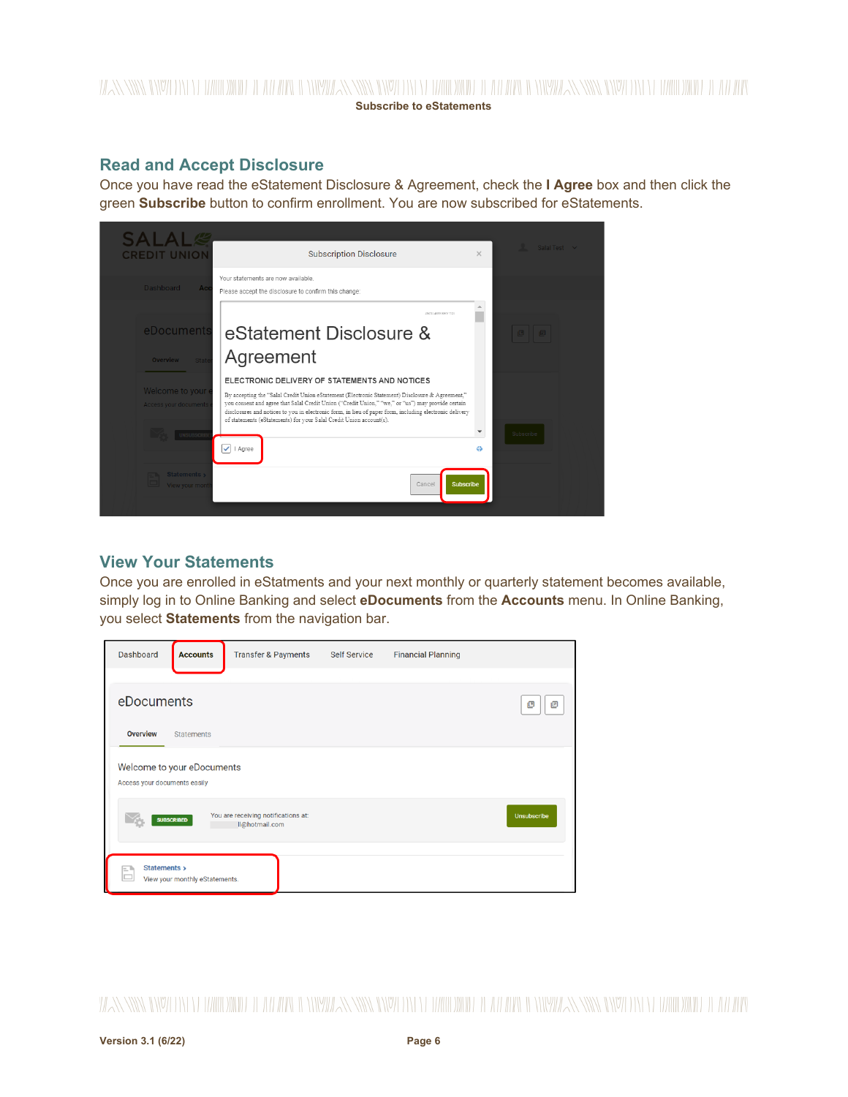# *THENNES WAS TERM AND A THARD DIE A HEARE IN NEW ANEXEMENT ON DE THARD DIE TEEL A HEARE IN NEW ANEXEMENT ON YEAR ODDERE TEEL A HEARE* **Subscribe to eStatements**

## **Read and Accept Disclosure**

Once you have read the eStatement Disclosure & Agreement, check the **I Agree** box and then click the green **Subscribe** button to confirm enrollment. You are now subscribed for eStatements.



# **View Your Statements**

Once you are enrolled in eStatments and your next monthly or quarterly statement becomes available, simply log in to Online Banking and select **eDocuments** from the **Accounts** menu. In Online Banking, you select **Statements** from the navigation bar.

| <b>Dashboard</b>                                           | <b>Accounts</b>                | <b>Transfer &amp; Payments</b>                        | <b>Self Service</b> | <b>Financial Planning</b> |                    |
|------------------------------------------------------------|--------------------------------|-------------------------------------------------------|---------------------|---------------------------|--------------------|
|                                                            |                                |                                                       |                     |                           |                    |
| eDocuments                                                 |                                |                                                       |                     |                           | 凹<br>画             |
| <b>Overview</b>                                            | <b>Statements</b>              |                                                       |                     |                           |                    |
| Welcome to your eDocuments<br>Access your documents easily |                                |                                                       |                     |                           |                    |
|                                                            | <b>SUBSCRIBED</b>              | You are receiving notifications at:<br>Il@hotmail.com |                     |                           | <b>Unsubscribe</b> |
| Statements ><br>E                                          | View your monthly eStatements. |                                                       |                     |                           |                    |

*THENNI*N WYTH EE HAARDINID IL A*H IHA*N WAANEN YN Y HAARDINID IL AH IHA WAN WENY*HENNIN WYT*HEE HAARDINID IN ALAHA